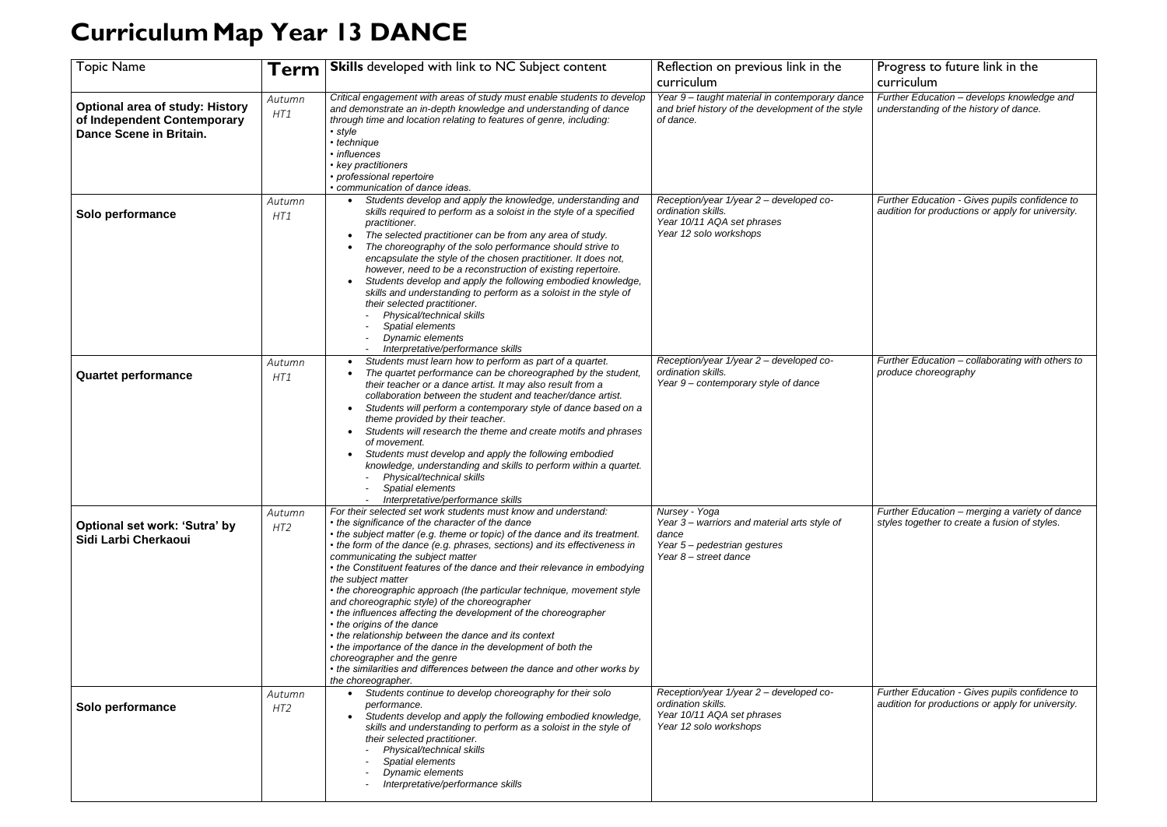## **CurriculumMap Year 13 DANCE**

| <b>Topic Name</b>                                                                                | Term                      | <b>Skills</b> developed with link to NC Subject content                                                                                                                                                                                                                                                                                                                                                                                                                                                                                                                                                                                                                                                                                                                                                                                                                                                 | Reflection on previous link in the                                                                                             | P |
|--------------------------------------------------------------------------------------------------|---------------------------|---------------------------------------------------------------------------------------------------------------------------------------------------------------------------------------------------------------------------------------------------------------------------------------------------------------------------------------------------------------------------------------------------------------------------------------------------------------------------------------------------------------------------------------------------------------------------------------------------------------------------------------------------------------------------------------------------------------------------------------------------------------------------------------------------------------------------------------------------------------------------------------------------------|--------------------------------------------------------------------------------------------------------------------------------|---|
|                                                                                                  |                           |                                                                                                                                                                                                                                                                                                                                                                                                                                                                                                                                                                                                                                                                                                                                                                                                                                                                                                         | curriculum                                                                                                                     |   |
| <b>Optional area of study: History</b><br>of Independent Contemporary<br>Dance Scene in Britain. | Autumn<br>HT1             | Critical engagement with areas of study must enable students to develop<br>and demonstrate an in-depth knowledge and understanding of dance<br>through time and location relating to features of genre, including:<br>$\cdot$ style<br>• technique<br>• influences<br>• key practitioners<br>• professional repertoire<br>• communication of dance ideas.                                                                                                                                                                                                                                                                                                                                                                                                                                                                                                                                               | Year 9- taught material in contemporary dance<br>and brief history of the development of the style<br>of dance.                |   |
| Solo performance                                                                                 | Autumn<br>HT1             | Students develop and apply the knowledge, understanding and<br>$\bullet$<br>skills required to perform as a soloist in the style of a specified<br>practitioner.<br>The selected practitioner can be from any area of study.<br>The choreography of the solo performance should strive to<br>encapsulate the style of the chosen practitioner. It does not,<br>however, need to be a reconstruction of existing repertoire.<br>Students develop and apply the following embodied knowledge,<br>skills and understanding to perform as a soloist in the style of<br>their selected practitioner.<br>Physical/technical skills<br>Spatial elements<br><b>Dynamic elements</b><br>Interpretative/performance skills                                                                                                                                                                                        | Reception/year 1/year 2 - developed co-<br>ordination skills.<br>Year 10/11 AQA set phrases<br>Year 12 solo workshops          | а |
| <b>Quartet performance</b>                                                                       | Autumn<br>HT1             | Students must learn how to perform as part of a quartet.<br>$\bullet$<br>The quartet performance can be choreographed by the student,<br>their teacher or a dance artist. It may also result from a<br>collaboration between the student and teacher/dance artist.<br>Students will perform a contemporary style of dance based on a<br>theme provided by their teacher.<br>Students will research the theme and create motifs and phrases<br>of movement.<br>Students must develop and apply the following embodied<br>knowledge, understanding and skills to perform within a quartet.<br>Physical/technical skills<br>Spatial elements<br>Interpretative/performance skills                                                                                                                                                                                                                          | Reception/year 1/year 2 - developed co-<br>ordination skills.<br>Year 9 - contemporary style of dance                          |   |
| Optional set work: 'Sutra' by<br>Sidi Larbi Cherkaoui                                            | Autumn<br>HT2             | For their selected set work students must know and understand:<br>• the significance of the character of the dance<br>• the subject matter (e.g. theme or topic) of the dance and its treatment.<br>• the form of the dance (e.g. phrases, sections) and its effectiveness in<br>communicating the subject matter<br>• the Constituent features of the dance and their relevance in embodying<br>the subject matter<br>• the choreographic approach (the particular technique, movement style<br>and choreographic style) of the choreographer<br>• the influences affecting the development of the choreographer<br>• the origins of the dance<br>• the relationship between the dance and its context<br>• the importance of the dance in the development of both the<br>choreographer and the genre<br>• the similarities and differences between the dance and other works by<br>the choreographer. | Nursey - Yoga<br>Year 3 – warriors and material arts style of<br>dance<br>Year 5- pedestrian gestures<br>Year 8 - street dance | s |
| Solo performance                                                                                 | Autumn<br>HT <sub>2</sub> | Students continue to develop choreography for their solo<br>performance.<br>Students develop and apply the following embodied knowledge,<br>skills and understanding to perform as a soloist in the style of<br>their selected practitioner.<br>Physical/technical skills<br>Spatial elements<br><b>Dynamic elements</b><br>Interpretative/performance skills                                                                                                                                                                                                                                                                                                                                                                                                                                                                                                                                           | Reception/year 1/year 2 - developed co-<br>ordination skills.<br>Year 10/11 AQA set phrases<br>Year 12 solo workshops          | а |

| Progress to future link in the<br>curriculum                                                        |
|-----------------------------------------------------------------------------------------------------|
| Further Education - develops knowledge and<br>understanding of the history of dance.                |
|                                                                                                     |
| Further Education - Gives pupils confidence to<br>audition for productions or apply for university. |
|                                                                                                     |
| Further Education - collaborating with others to<br>produce choreography                            |
| Further Education - merging a variety of dance<br>styles together to create a fusion of styles.     |
| Further Education - Gives pupils confidence to<br>audition for productions or apply for university. |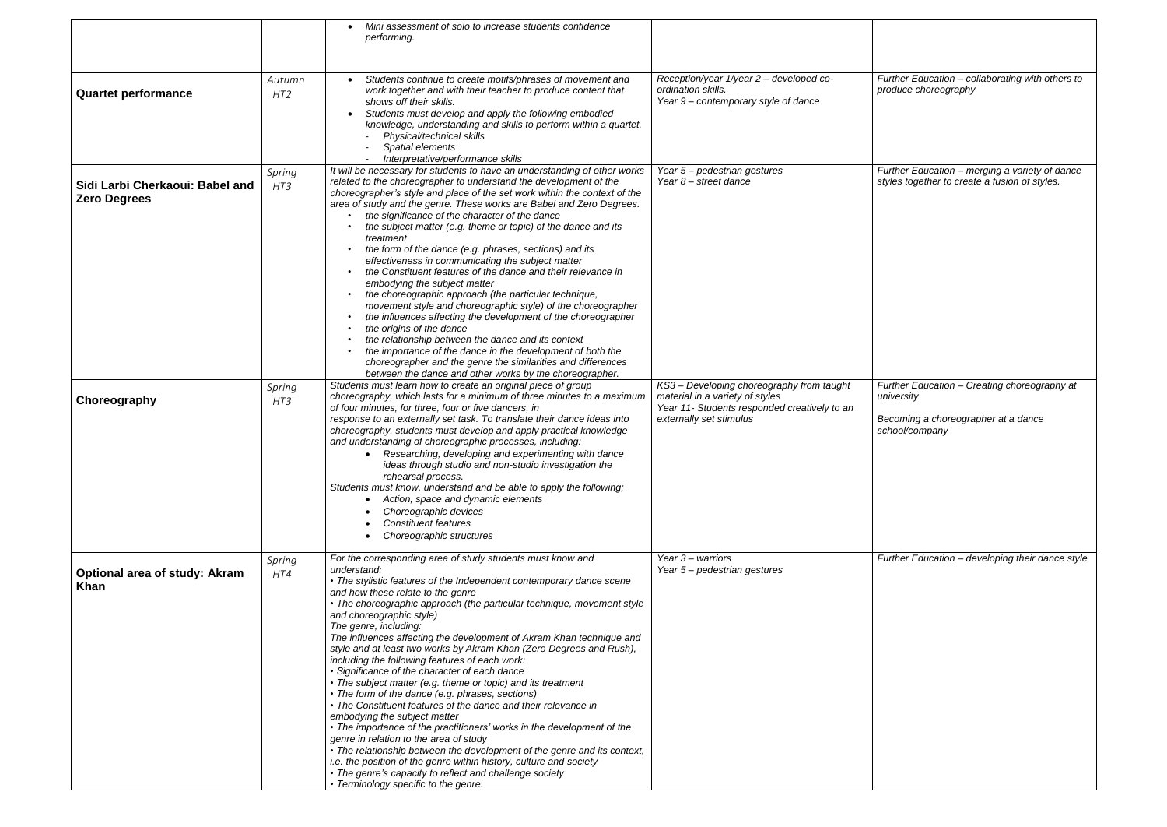|                                                        |                           | Mini assessment of solo to increase students confidence<br>performing.                                                                                                                                                                                                                                                                                                                                                                                                                                                                                                                                                                                                                                                                                                                                                                                                                                                                                                                                                                                                                                                                                                 |                                                                                                                                                         |         |
|--------------------------------------------------------|---------------------------|------------------------------------------------------------------------------------------------------------------------------------------------------------------------------------------------------------------------------------------------------------------------------------------------------------------------------------------------------------------------------------------------------------------------------------------------------------------------------------------------------------------------------------------------------------------------------------------------------------------------------------------------------------------------------------------------------------------------------------------------------------------------------------------------------------------------------------------------------------------------------------------------------------------------------------------------------------------------------------------------------------------------------------------------------------------------------------------------------------------------------------------------------------------------|---------------------------------------------------------------------------------------------------------------------------------------------------------|---------|
| <b>Quartet performance</b>                             | Autumn<br>HT <sub>2</sub> | Students continue to create motifs/phrases of movement and<br>work together and with their teacher to produce content that<br>shows off their skills.<br>Students must develop and apply the following embodied<br>knowledge, understanding and skills to perform within a quartet.<br>Physical/technical skills<br>Spatial elements<br>Interpretative/performance skills                                                                                                                                                                                                                                                                                                                                                                                                                                                                                                                                                                                                                                                                                                                                                                                              | Reception/year 1/year 2 - developed co-<br>ordination skills.<br>Year 9 - contemporary style of dance                                                   | р       |
| Sidi Larbi Cherkaoui: Babel and<br><b>Zero Degrees</b> | Spring<br>HT3             | It will be necessary for students to have an understanding of other works<br>related to the choreographer to understand the development of the<br>choreographer's style and place of the set work within the context of the<br>area of study and the genre. These works are Babel and Zero Degrees.<br>the significance of the character of the dance<br>the subject matter (e.g. theme or topic) of the dance and its<br>treatment<br>the form of the dance (e.g. phrases, sections) and its<br>effectiveness in communicating the subject matter<br>the Constituent features of the dance and their relevance in<br>embodying the subject matter<br>the choreographic approach (the particular technique,<br>movement style and choreographic style) of the choreographer<br>the influences affecting the development of the choreographer<br>the origins of the dance<br>the relationship between the dance and its context<br>the importance of the dance in the development of both the<br>choreographer and the genre the similarities and differences<br>between the dance and other works by the choreographer.                                                | Year 5- pedestrian gestures<br>Year 8 – street dance                                                                                                    | S       |
| Choreography                                           | Spring<br>HT3             | Students must learn how to create an original piece of group<br>choreography, which lasts for a minimum of three minutes to a maximum<br>of four minutes, for three, four or five dancers, in<br>response to an externally set task. To translate their dance ideas into<br>choreography, students must develop and apply practical knowledge<br>and understanding of choreographic processes, including:<br>Researching, developing and experimenting with dance<br>ideas through studio and non-studio investigation the<br>rehearsal process.<br>Students must know, understand and be able to apply the following;<br>Action, space and dynamic elements<br>Choreographic devices<br><b>Constituent features</b><br>Choreographic structures                                                                                                                                                                                                                                                                                                                                                                                                                       | KS3 - Developing choreography from taught<br>material in a variety of styles<br>Year 11- Students responded creatively to an<br>externally set stimulus | в<br>S( |
| <b>Optional area of study: Akram</b><br><b>Khan</b>    | Spring<br>HT4             | For the corresponding area of study students must know and<br>understand:<br>• The stylistic features of the Independent contemporary dance scene<br>and how these relate to the genre<br>• The choreographic approach (the particular technique, movement style<br>and choreographic style)<br>The genre, including:<br>The influences affecting the development of Akram Khan technique and<br>style and at least two works by Akram Khan (Zero Degrees and Rush),<br>including the following features of each work:<br>· Significance of the character of each dance<br>• The subject matter (e.g. theme or topic) and its treatment<br>• The form of the dance (e.g. phrases, sections)<br>• The Constituent features of the dance and their relevance in<br>embodying the subject matter<br>• The importance of the practitioners' works in the development of the<br>genre in relation to the area of study<br>• The relationship between the development of the genre and its context,<br>i.e. the position of the genre within history, culture and society<br>• The genre's capacity to reflect and challenge society<br>• Terminology specific to the genre. | Year 3 – warriors<br>Year 5- pedestrian gestures                                                                                                        |         |

*Further Education – collaborating with others to produce choreography Further Education – merging a variety of dance styles together to create a fusion of styles. Further Education – Creating choreography at university Becoming a choreographer at a dance school/company Further Education – developing their dance style*